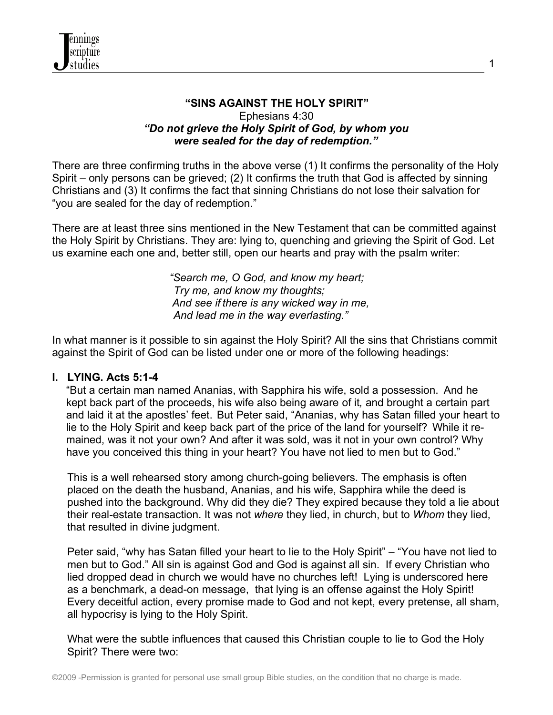

## **"SINS AGAINST THE HOLY SPIRIT"** Ephesians 4:30 *"Do not grieve the Holy Spirit of God, by whom you were sealed for the day of redemption."*

There are three confirming truths in the above verse (1) It confirms the personality of the Holy Spirit – only persons can be grieved; (2) It confirms the truth that God is affected by sinning Christians and (3) It confirms the fact that sinning Christians do not lose their salvation for "you are sealed for the day of redemption."

There are at least three sins mentioned in the New Testament that can be committed against the Holy Spirit by Christians. They are: lying to, quenching and grieving the Spirit of God. Let us examine each one and, better still, open our hearts and pray with the psalm writer:

> *"Search me, O God, and know my heart; Try me, and know my thoughts; And see if there is any wicked way in me, And lead me in the way everlasting."*

In what manner is it possible to sin against the Holy Spirit? All the sins that Christians commit against the Spirit of God can be listed under one or more of the following headings:

## **I. LYING. Acts 5:1-4**

"But a certain man named Ananias, with Sapphira his wife, sold a possession. And he kept back part of the proceeds, his wife also being aware of it*,* and brought a certain part and laid it at the apostles' feet. But Peter said, "Ananias, why has Satan filled your heart to lie to the Holy Spirit and keep back part of the price of the land for yourself? While it remained, was it not your own? And after it was sold, was it not in your own control? Why have you conceived this thing in your heart? You have not lied to men but to God."

 This is a well rehearsed story among church-going believers. The emphasis is often placed on the death the husband, Ananias, and his wife, Sapphira while the deed is pushed into the background. Why did they die? They expired because they told a lie about their real-estate transaction. It was not *where* they lied, in church, but to *Whom* they lied, that resulted in divine judgment.

 Peter said, "why has Satan filled your heart to lie to the Holy Spirit" – "You have not lied to men but to God." All sin is against God and God is against all sin. If every Christian who lied dropped dead in church we would have no churches left! Lying is underscored here as a benchmark, a dead-on message, that lying is an offense against the Holy Spirit! Every deceitful action, every promise made to God and not kept, every pretense, all sham, all hypocrisy is lying to the Holy Spirit.

 What were the subtle influences that caused this Christian couple to lie to God the Holy Spirit? There were two: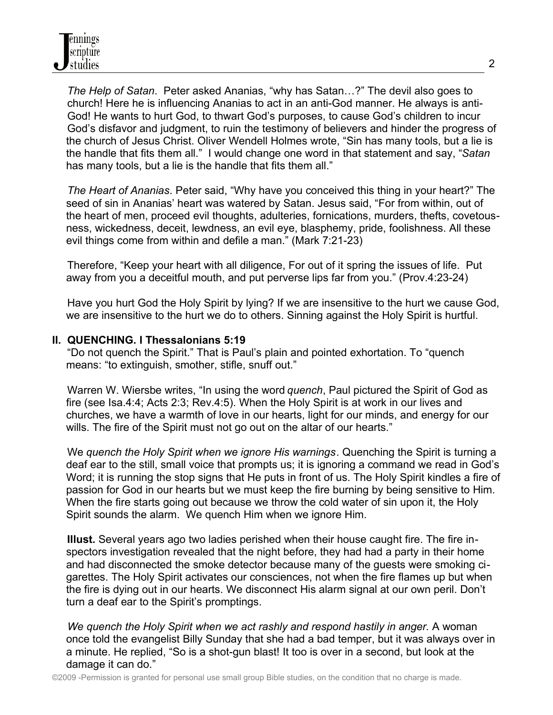*The Help of Satan*. Peter asked Ananias, "why has Satan…?" The devil also goes to church! Here he is influencing Ananias to act in an anti-God manner. He always is anti- God! He wants to hurt God, to thwart God's purposes, to cause God's children to incur God's disfavor and judgment, to ruin the testimony of believers and hinder the progress of the church of Jesus Christ. Oliver Wendell Holmes wrote, "Sin has many tools, but a lie is the handle that fits them all." I would change one word in that statement and say, "*Satan* has many tools, but a lie is the handle that fits them all."

 *The Heart of Ananias*. Peter said, "Why have you conceived this thing in your heart?" The seed of sin in Ananias' heart was watered by Satan. Jesus said, "For from within, out of the heart of men, proceed evil thoughts, adulteries, fornications, murders, thefts, covetousness, wickedness, deceit, lewdness, an evil eye, blasphemy, pride, foolishness. All these evil things come from within and defile a man." (Mark 7:21-23)

 Therefore, "Keep your heart with all diligence, For out of it spring the issues of life. Put away from you a deceitful mouth, and put perverse lips far from you." (Prov.4:23-24)

 Have you hurt God the Holy Spirit by lying? If we are insensitive to the hurt we cause God, we are insensitive to the hurt we do to others. Sinning against the Holy Spirit is hurtful.

# **II. QUENCHING. I Thessalonians 5:19**

 "Do not quench the Spirit." That is Paul's plain and pointed exhortation. To "quench means: "to extinguish, smother, stifle, snuff out."

 Warren W. Wiersbe writes, "In using the word *quench*, Paul pictured the Spirit of God as fire (see Isa.4:4; Acts 2:3; Rev.4:5). When the Holy Spirit is at work in our lives and churches, we have a warmth of love in our hearts, light for our minds, and energy for our wills. The fire of the Spirit must not go out on the altar of our hearts."

 We *quench the Holy Spirit when we ignore His warnings*. Quenching the Spirit is turning a deaf ear to the still, small voice that prompts us; it is ignoring a command we read in God's Word; it is running the stop signs that He puts in front of us. The Holy Spirit kindles a fire of passion for God in our hearts but we must keep the fire burning by being sensitive to Him. When the fire starts going out because we throw the cold water of sin upon it, the Holy Spirit sounds the alarm. We quench Him when we ignore Him.

 **Illust.** Several years ago two ladies perished when their house caught fire. The fire inspectors investigation revealed that the night before, they had had a party in their home and had disconnected the smoke detector because many of the guests were smoking cigarettes. The Holy Spirit activates our consciences, not when the fire flames up but when the fire is dying out in our hearts. We disconnect His alarm signal at our own peril. Don't turn a deaf ear to the Spirit's promptings.

 *We quench the Holy Spirit when we act rashly and respond hastily in anger.* A woman once told the evangelist Billy Sunday that she had a bad temper, but it was always over in a minute. He replied, "So is a shot-gun blast! It too is over in a second, but look at the damage it can do."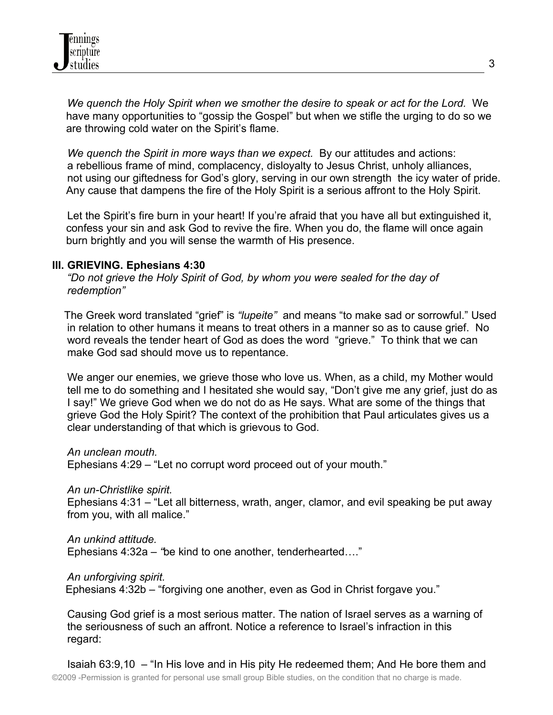*We quench the Holy Spirit when we smother the desire to speak or act for the Lord.* We have many opportunities to "gossip the Gospel" but when we stifle the urging to do so we are throwing cold water on the Spirit's flame.

 *We quench the Spirit in more ways than we expect.* By our attitudes and actions: a rebellious frame of mind, complacency, disloyalty to Jesus Christ, unholy alliances, not using our giftedness for God's glory, serving in our own strength the icy water of pride. Any cause that dampens the fire of the Holy Spirit is a serious affront to the Holy Spirit.

Let the Spirit's fire burn in your heart! If you're afraid that you have all but extinguished it, confess your sin and ask God to revive the fire. When you do, the flame will once again burn brightly and you will sense the warmth of His presence.

#### **III. GRIEVING. Ephesians 4:30**

 *"Do not grieve the Holy Spirit of God, by whom you were sealed for the day of redemption"*

The Greek word translated "grief" is *"lupeite"* and means "to make sad or sorrowful." Used in relation to other humans it means to treat others in a manner so as to cause grief. No word reveals the tender heart of God as does the word "grieve." To think that we can make God sad should move us to repentance.

 We anger our enemies, we grieve those who love us. When, as a child, my Mother would tell me to do something and I hesitated she would say, "Don't give me any grief, just do as I say!" We grieve God when we do not do as He says. What are some of the things that grieve God the Holy Spirit? The context of the prohibition that Paul articulates gives us a clear understanding of that which is grievous to God.

*An unclean mouth.* 

Ephesians 4:29 – "Let no corrupt word proceed out of your mouth."

*An un-Christlike spirit.*

Ephesians 4:31 – "Let all bitterness, wrath, anger, clamor, and evil speaking be put away from you, with all malice."

*An unkind attitude.*

Ephesians 4:32a – *"*be kind to one another, tenderhearted…."

*An unforgiving spirit.*

Ephesians 4:32b – "forgiving one another, even as God in Christ forgave you."

 Causing God grief is a most serious matter. The nation of Israel serves as a warning of the seriousness of such an affront. Notice a reference to Israel's infraction in this regard: